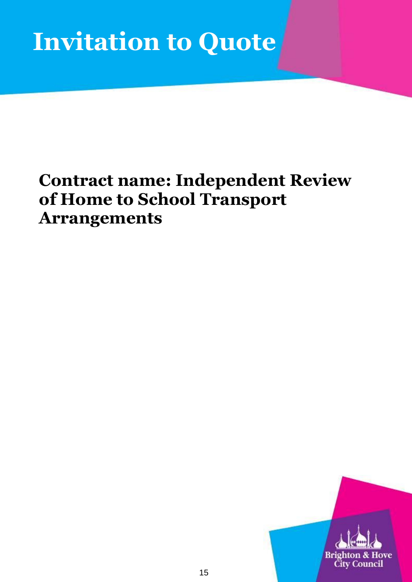# **Invitation to Quote**

## **Contract name: Independent Review of Home to School Transport Arrangements**

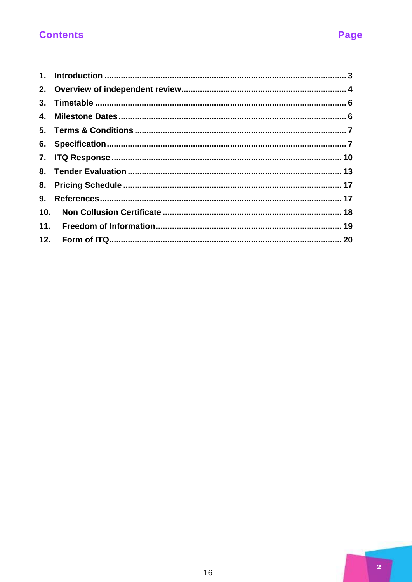## **Contents**

| 3.  |  |
|-----|--|
| 4.  |  |
|     |  |
|     |  |
|     |  |
|     |  |
| 8.  |  |
| 9.  |  |
| 10. |  |
| 11. |  |
|     |  |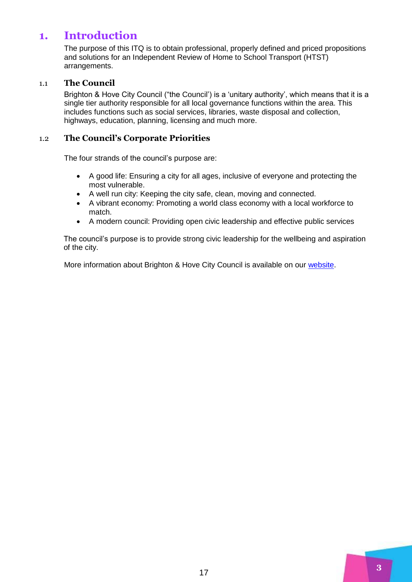## <span id="page-2-0"></span>**1. Introduction**

The purpose of this ITQ is to obtain professional, properly defined and priced propositions and solutions for an Independent Review of Home to School Transport (HTST) arrangements.

## 1.1 **The Council**

Brighton & Hove City Council ("the Council') is a 'unitary authority', which means that it is a single tier authority responsible for all local governance functions within the area. This includes functions such as social services, libraries, waste disposal and collection, highways, education, planning, licensing and much more.

## 1.2 **The Council's Corporate Priorities**

The four strands of the council's purpose are:

- A good life: Ensuring a city for all ages, inclusive of everyone and protecting the most vulnerable.
- A well run city: Keeping the city safe, clean, moving and connected.
- A vibrant economy: Promoting a world class economy with a local workforce to match.
- A modern council: Providing open civic leadership and effective public services

The council's purpose is to provide strong civic leadership for the wellbeing and aspiration of the city.

More information about Brighton & Hove City Council is available on our [website.](http://www.brighton-hove.gov.uk/)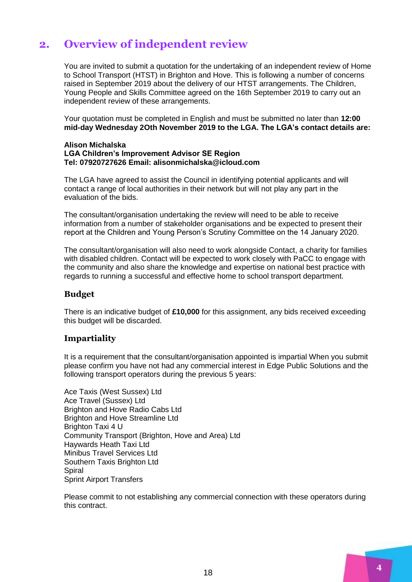## <span id="page-3-0"></span>**2. Overview of independent review**

You are invited to submit a quotation for the undertaking of an independent review of Home to School Transport (HTST) in Brighton and Hove. This is following a number of concerns raised in September 2019 about the delivery of our HTST arrangements. The Children, Young People and Skills Committee agreed on the 16th September 2019 to carry out an independent review of these arrangements.

Your quotation must be completed in English and must be submitted no later than **12:00 mid-day Wednesday 2Oth November 2019 to the LGA. The LGA's contact details are:** 

#### **Alison Michalska LGA Children's Improvement Advisor SE Region Tel: 07920727626 Email: alisonmichalska@icloud.com**

The LGA have agreed to assist the Council in identifying potential applicants and will contact a range of local authorities in their network but will not play any part in the evaluation of the bids.

The consultant/organisation undertaking the review will need to be able to receive information from a number of stakeholder organisations and be expected to present their report at the Children and Young Person's Scrutiny Committee on the 14 January 2020.

The consultant/organisation will also need to work alongside Contact, a charity for families with disabled children. Contact will be expected to work closely with PaCC to engage with the community and also share the knowledge and expertise on national best practice with regards to running a successful and effective home to school transport department.

## **Budget**

There is an indicative budget of **£10,000** for this assignment, any bids received exceeding this budget will be discarded.

## **Impartiality**

It is a requirement that the consultant/organisation appointed is impartial When you submit please confirm you have not had any commercial interest in Edge Public Solutions and the following transport operators during the previous 5 years:

Ace Taxis (West Sussex) Ltd Ace Travel (Sussex) Ltd Brighton and Hove Radio Cabs Ltd Brighton and Hove Streamline Ltd Brighton Taxi 4 U Community Transport (Brighton, Hove and Area) Ltd Haywards Heath Taxi Ltd Minibus Travel Services Ltd Southern Taxis Brighton Ltd Spiral Sprint Airport Transfers

Please commit to not establishing any commercial connection with these operators during this contract.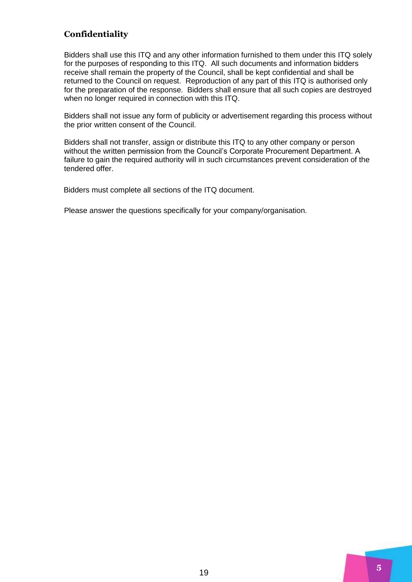## **Confidentiality**

Bidders shall use this ITQ and any other information furnished to them under this ITQ solely for the purposes of responding to this ITQ. All such documents and information bidders receive shall remain the property of the Council, shall be kept confidential and shall be returned to the Council on request. Reproduction of any part of this ITQ is authorised only for the preparation of the response. Bidders shall ensure that all such copies are destroyed when no longer required in connection with this ITQ.

Bidders shall not issue any form of publicity or advertisement regarding this process without the prior written consent of the Council.

Bidders shall not transfer, assign or distribute this ITQ to any other company or person without the written permission from the Council's Corporate Procurement Department. A failure to gain the required authority will in such circumstances prevent consideration of the tendered offer.

Bidders must complete all sections of the ITQ document.

Please answer the questions specifically for your company/organisation.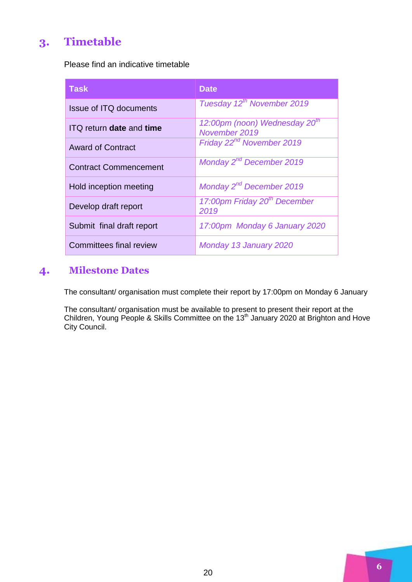## <span id="page-5-0"></span>**3. Timetable**

Please find an indicative timetable

| <b>Task</b>                     | <b>Date</b>                                                |
|---------------------------------|------------------------------------------------------------|
| <b>Issue of ITQ documents</b>   | Tuesday 12 <sup>th</sup> November 2019                     |
| <b>ITQ</b> return date and time | 12:00pm (noon) Wednesday 20 <sup>th</sup><br>November 2019 |
| <b>Award of Contract</b>        | Friday 22 <sup>nd</sup> November 2019                      |
| <b>Contract Commencement</b>    | Monday 2 <sup>nd</sup> December 2019                       |
| Hold inception meeting          | Monday 2 <sup>nd</sup> December 2019                       |
| Develop draft report            | 17:00pm Friday 20 <sup>th</sup> December<br>2019           |
| Submit final draft report       | 17:00pm Monday 6 January 2020                              |
| <b>Committees final review</b>  | Monday 13 January 2020                                     |

## <span id="page-5-1"></span>**4. Milestone Dates**

The consultant/ organisation must complete their report by 17:00pm on Monday 6 January

The consultant/ organisation must be available to present to present their report at the Children, Young People & Skills Committee on the 13<sup>th</sup> January 2020 at Brighton and Hove City Council.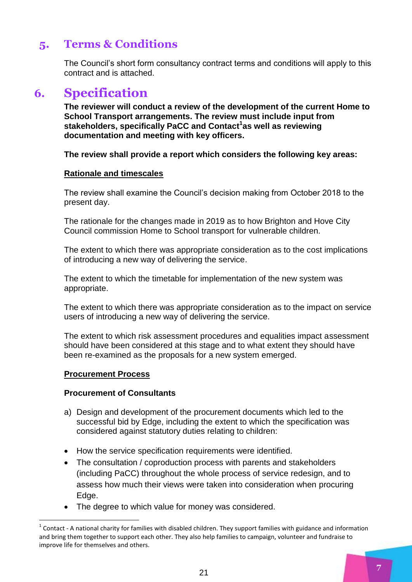## <span id="page-6-0"></span>**5. Terms & Conditions**

The Council's short form consultancy contract terms and conditions will apply to this contract and is attached.

## <span id="page-6-1"></span>**6. Specification**

**The reviewer will conduct a review of the development of the current Home to School Transport arrangements. The review must include input from stakeholders, specifically PaCC and Contact<sup>1</sup> as well as reviewing documentation and meeting with key officers.**

**The review shall provide a report which considers the following key areas:**

## **Rationale and timescales**

The review shall examine the Council's decision making from October 2018 to the present day.

The rationale for the changes made in 2019 as to how Brighton and Hove City Council commission Home to School transport for vulnerable children.

The extent to which there was appropriate consideration as to the cost implications of introducing a new way of delivering the service.

The extent to which the timetable for implementation of the new system was appropriate.

The extent to which there was appropriate consideration as to the impact on service users of introducing a new way of delivering the service.

The extent to which risk assessment procedures and equalities impact assessment should have been considered at this stage and to what extent they should have been re-examined as the proposals for a new system emerged.

## **Procurement Process**

1

## **Procurement of Consultants**

- a) Design and development of the procurement documents which led to the successful bid by Edge, including the extent to which the specification was considered against statutory duties relating to children:
- How the service specification requirements were identified.
- The consultation / coproduction process with parents and stakeholders (including PaCC) throughout the whole process of service redesign, and to assess how much their views were taken into consideration when procuring Edge.
- The degree to which value for money was considered.

 $1$  Contact - A national charity for families with disabled children. They support families with guidance and information and bring them together to support each other. They also help families to campaign, volunteer and fundraise to improve life for themselves and others.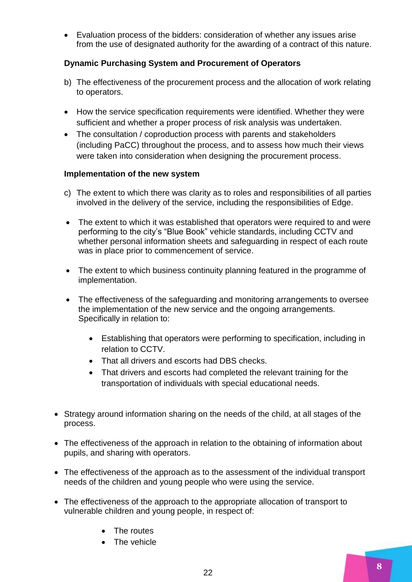Evaluation process of the bidders: consideration of whether any issues arise from the use of designated authority for the awarding of a contract of this nature.

## **Dynamic Purchasing System and Procurement of Operators**

- b) The effectiveness of the procurement process and the allocation of work relating to operators.
- How the service specification requirements were identified. Whether they were sufficient and whether a proper process of risk analysis was undertaken.
- The consultation / coproduction process with parents and stakeholders (including PaCC) throughout the process, and to assess how much their views were taken into consideration when designing the procurement process.

## **Implementation of the new system**

- c) The extent to which there was clarity as to roles and responsibilities of all parties involved in the delivery of the service, including the responsibilities of Edge.
- The extent to which it was established that operators were required to and were performing to the city's "Blue Book" vehicle standards, including CCTV and whether personal information sheets and safeguarding in respect of each route was in place prior to commencement of service.
- The extent to which business continuity planning featured in the programme of implementation.
- The effectiveness of the safeguarding and monitoring arrangements to oversee the implementation of the new service and the ongoing arrangements. Specifically in relation to:
	- Establishing that operators were performing to specification, including in relation to CCTV.
	- That all drivers and escorts had DBS checks.
	- That drivers and escorts had completed the relevant training for the transportation of individuals with special educational needs.
- Strategy around information sharing on the needs of the child, at all stages of the process.
- The effectiveness of the approach in relation to the obtaining of information about pupils, and sharing with operators.
- The effectiveness of the approach as to the assessment of the individual transport needs of the children and young people who were using the service.
- The effectiveness of the approach to the appropriate allocation of transport to vulnerable children and young people, in respect of:
	- The routes
	- The vehicle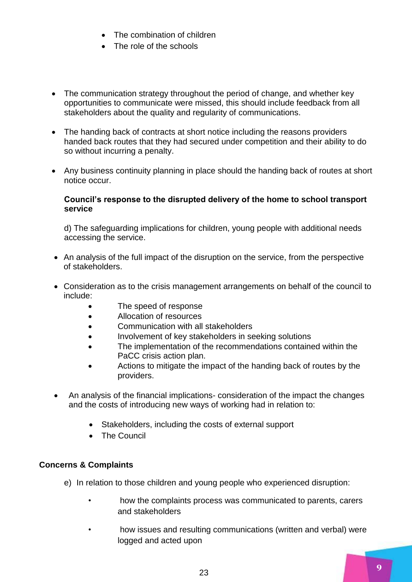- The combination of children
- The role of the schools
- The communication strategy throughout the period of change, and whether key opportunities to communicate were missed, this should include feedback from all stakeholders about the quality and regularity of communications.
- The handing back of contracts at short notice including the reasons providers handed back routes that they had secured under competition and their ability to do so without incurring a penalty.
- Any business continuity planning in place should the handing back of routes at short notice occur.

## **Council's response to the disrupted delivery of the home to school transport service**

d) The safeguarding implications for children, young people with additional needs accessing the service.

- An analysis of the full impact of the disruption on the service, from the perspective of stakeholders.
- Consideration as to the crisis management arrangements on behalf of the council to include:
	- The speed of response
	- Allocation of resources
	- Communication with all stakeholders
	- Involvement of key stakeholders in seeking solutions
	- The implementation of the recommendations contained within the PaCC crisis action plan.
	- Actions to mitigate the impact of the handing back of routes by the providers.
- An analysis of the financial implications- consideration of the impact the changes and the costs of introducing new ways of working had in relation to:
	- Stakeholders, including the costs of external support
	- The Council

## **Concerns & Complaints**

- e) In relation to those children and young people who experienced disruption:
	- how the complaints process was communicated to parents, carers and stakeholders
	- how issues and resulting communications (written and verbal) were logged and acted upon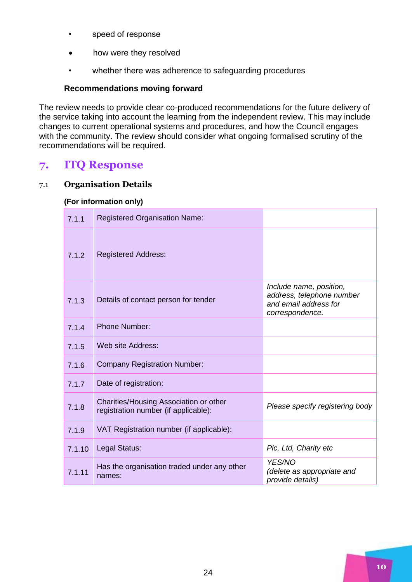- speed of response
- how were they resolved
- whether there was adherence to safeguarding procedures

## **Recommendations moving forward**

The review needs to provide clear co-produced recommendations for the future delivery of the service taking into account the learning from the independent review. This may include changes to current operational systems and procedures, and how the Council engages with the community. The review should consider what ongoing formalised scrutiny of the recommendations will be required.

## <span id="page-9-0"></span>**7. ITQ Response**

## 7.1 **Organisation Details**

| 7.1.1  | <b>Registered Organisation Name:</b>                                           |                                                                                                  |
|--------|--------------------------------------------------------------------------------|--------------------------------------------------------------------------------------------------|
| 7.1.2  | <b>Registered Address:</b>                                                     |                                                                                                  |
| 7.1.3  | Details of contact person for tender                                           | Include name, position,<br>address, telephone number<br>and email address for<br>correspondence. |
| 7.1.4  | <b>Phone Number:</b>                                                           |                                                                                                  |
| 7.1.5  | Web site Address:                                                              |                                                                                                  |
| 7.1.6  | <b>Company Registration Number:</b>                                            |                                                                                                  |
| 7.1.7  | Date of registration:                                                          |                                                                                                  |
| 7.1.8  | Charities/Housing Association or other<br>registration number (if applicable): | Please specify registering body                                                                  |
| 7.1.9  | VAT Registration number (if applicable):                                       |                                                                                                  |
| 7.1.10 | Legal Status:                                                                  | Plc, Ltd, Charity etc                                                                            |
| 7.1.11 | Has the organisation traded under any other<br>names:                          | YES/NO<br>(delete as appropriate and<br>provide details)                                         |

## **(For information only)**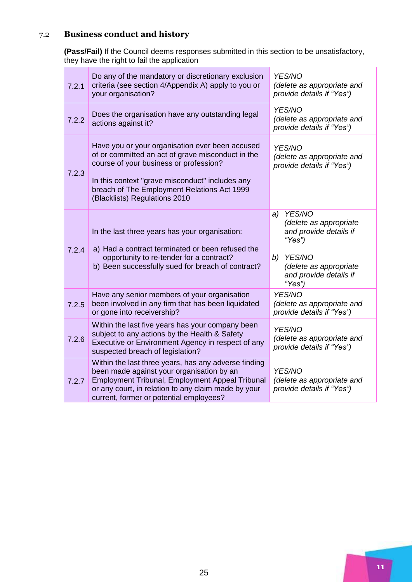## 7.2 **Business conduct and history**

**(Pass/Fail)** If the Council deems responses submitted in this section to be unsatisfactory, they have the right to fail the application

| 7.2.1 | Do any of the mandatory or discretionary exclusion<br>criteria (see section 4/Appendix A) apply to you or<br>your organisation?                                                                                                                                                   | YES/NO<br>(delete as appropriate and<br>provide details if "Yes")                                                                                        |
|-------|-----------------------------------------------------------------------------------------------------------------------------------------------------------------------------------------------------------------------------------------------------------------------------------|----------------------------------------------------------------------------------------------------------------------------------------------------------|
| 7.2.2 | Does the organisation have any outstanding legal<br>actions against it?                                                                                                                                                                                                           | YES/NO<br>(delete as appropriate and<br>provide details if "Yes")                                                                                        |
| 7.2.3 | Have you or your organisation ever been accused<br>of or committed an act of grave misconduct in the<br>course of your business or profession?<br>In this context "grave misconduct" includes any<br>breach of The Employment Relations Act 1999<br>(Blacklists) Regulations 2010 | YES/NO<br>(delete as appropriate and<br>provide details if "Yes")                                                                                        |
| 7.2.4 | In the last three years has your organisation:<br>a) Had a contract terminated or been refused the<br>opportunity to re-tender for a contract?<br>b) Been successfully sued for breach of contract?                                                                               | YES/NO<br>a)<br>(delete as appropriate<br>and provide details if<br>"Yes")<br>YES/NO<br>b)<br>(delete as appropriate<br>and provide details if<br>"Yes") |
| 7.2.5 | Have any senior members of your organisation<br>been involved in any firm that has been liquidated<br>or gone into receivership?                                                                                                                                                  | YES/NO<br>(delete as appropriate and<br>provide details if "Yes")                                                                                        |
| 7.2.6 | Within the last five years has your company been<br>subject to any actions by the Health & Safety<br>Executive or Environment Agency in respect of any<br>suspected breach of legislation?                                                                                        | YES/NO<br>(delete as appropriate and<br>provide details if "Yes")                                                                                        |
| 7.2.7 | Within the last three years, has any adverse finding<br>been made against your organisation by an<br>Employment Tribunal, Employment Appeal Tribunal<br>or any court, in relation to any claim made by your<br>current, former or potential employees?                            | YES/NO<br>(delete as appropriate and<br>provide details if "Yes")                                                                                        |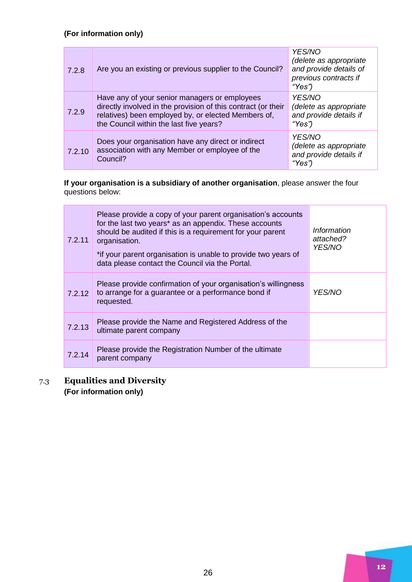## **(For information only)**

| 7.2.8  | Are you an existing or previous supplier to the Council?                                                                                                                                                         | YES/NO<br>(delete as appropriate<br>and provide details of<br>previous contracts if<br>"Yes") |
|--------|------------------------------------------------------------------------------------------------------------------------------------------------------------------------------------------------------------------|-----------------------------------------------------------------------------------------------|
| 7.2.9  | Have any of your senior managers or employees<br>directly involved in the provision of this contract (or their<br>relatives) been employed by, or elected Members of,<br>the Council within the last five years? | YES/NO<br>(delete as appropriate<br>and provide details if<br>"Yes")                          |
| 7.2.10 | Does your organisation have any direct or indirect<br>association with any Member or employee of the<br>Council?                                                                                                 | YES/NO<br>(delete as appropriate<br>and provide details if<br>"Yes")                          |

**If your organisation is a subsidiary of another organisation**, please answer the four questions below:

| 7.2.11 | Please provide a copy of your parent organisation's accounts<br>for the last two years* as an appendix. These accounts<br>should be audited if this is a requirement for your parent<br>organisation.<br>*if your parent organisation is unable to provide two years of<br>data please contact the Council via the Portal. | Information<br>attached?<br><i>YES/NO</i> |
|--------|----------------------------------------------------------------------------------------------------------------------------------------------------------------------------------------------------------------------------------------------------------------------------------------------------------------------------|-------------------------------------------|
| 7.2.12 | Please provide confirmation of your organisation's willingness<br>to arrange for a guarantee or a performance bond if<br>requested.                                                                                                                                                                                        | <i>YES/NO</i>                             |
| 7.2.13 | Please provide the Name and Registered Address of the<br>ultimate parent company                                                                                                                                                                                                                                           |                                           |
| 7.2.14 | Please provide the Registration Number of the ultimate<br>parent company                                                                                                                                                                                                                                                   |                                           |

7.3 **Equalities and Diversity (For information only)**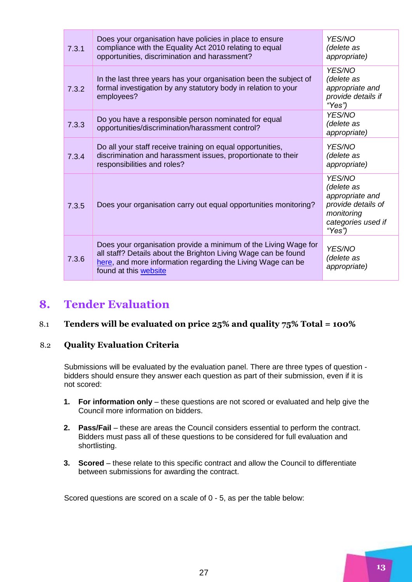| 7.3.1 | Does your organisation have policies in place to ensure<br>compliance with the Equality Act 2010 relating to equal<br>opportunities, discrimination and harassment?                                                       | <b>YES/NO</b><br>(delete as<br>appropriate)                                                                 |
|-------|---------------------------------------------------------------------------------------------------------------------------------------------------------------------------------------------------------------------------|-------------------------------------------------------------------------------------------------------------|
| 7.3.2 | In the last three years has your organisation been the subject of<br>formal investigation by any statutory body in relation to your<br>employees?                                                                         | YES/NO<br>(delete as<br>appropriate and<br>provide details if<br>"Yes")                                     |
| 7.3.3 | Do you have a responsible person nominated for equal<br>opportunities/discrimination/harassment control?                                                                                                                  | YES/NO<br>(delete as<br>appropriate)                                                                        |
| 7.3.4 | Do all your staff receive training on equal opportunities,<br>discrimination and harassment issues, proportionate to their<br>responsibilities and roles?                                                                 | <b>YES/NO</b><br>(delete as<br>appropriate)                                                                 |
| 7.3.5 | Does your organisation carry out equal opportunities monitoring?                                                                                                                                                          | YES/NO<br>(delete as<br>appropriate and<br>provide details of<br>monitoring<br>categories used if<br>"Yes") |
| 7.3.6 | Does your organisation provide a minimum of the Living Wage for<br>all staff? Details about the Brighton Living Wage can be found<br>here, and more information regarding the Living Wage can be<br>found at this website | YES/NO<br>(delete as<br>appropriate)                                                                        |

## <span id="page-12-0"></span>**8. Tender Evaluation**

## 8.1 **Tenders will be evaluated on price 25% and quality 75% Total = 100%**

## 8.2 **Quality Evaluation Criteria**

Submissions will be evaluated by the evaluation panel. There are three types of question bidders should ensure they answer each question as part of their submission, even if it is not scored:

- **1.** For information only these questions are not scored or evaluated and help give the Council more information on bidders.
- **2. Pass/Fail** these are areas the Council considers essential to perform the contract. Bidders must pass all of these questions to be considered for full evaluation and shortlisting.
- **3. Scored** these relate to this specific contract and allow the Council to differentiate between submissions for awarding the contract.

Scored questions are scored on a scale of 0 - 5, as per the table below: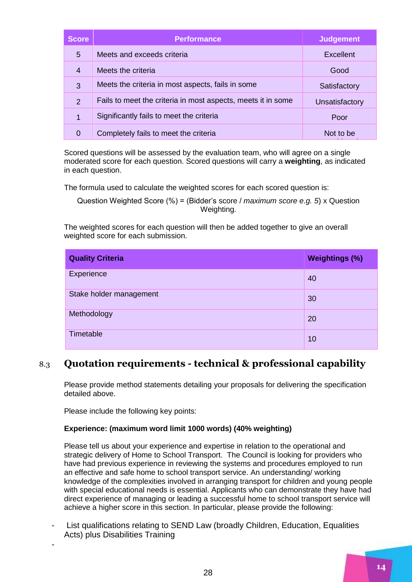| <b>Score</b>   | <b>Performance</b>                                           | <b>Judgement</b> |
|----------------|--------------------------------------------------------------|------------------|
| 5              | Meets and exceeds criteria                                   | Excellent        |
| 4              | Meets the criteria                                           | Good             |
| 3              | Meets the criteria in most aspects, fails in some            | Satisfactory     |
| $\overline{2}$ | Fails to meet the criteria in most aspects, meets it in some | Unsatisfactory   |
| 1              | Significantly fails to meet the criteria                     | Poor             |
| 0              | Completely fails to meet the criteria                        | Not to be        |
|                |                                                              |                  |

Scored questions will be assessed by the evaluation team, who will agree on a single moderated score for each question. Scored questions will carry a **weighting**, as indicated in each question.

The formula used to calculate the weighted scores for each scored question is:

Question Weighted Score (%) = (Bidder's score / *maximum score e.g. 5*) x Question Weighting.

The weighted scores for each question will then be added together to give an overall weighted score for each submission.

| <b>Quality Criteria</b> | <b>Weightings (%)</b> |
|-------------------------|-----------------------|
| Experience              | 40                    |
| Stake holder management | 30                    |
| Methodology             | 20                    |
| Timetable               | 10                    |

## 8.3 **Quotation requirements - technical & professional capability**

Please provide method statements detailing your proposals for delivering the specification detailed above.

Please include the following key points:

-

#### **Experience: (maximum word limit 1000 words) (40% weighting)**

Please tell us about your experience and expertise in relation to the operational and strategic delivery of Home to School Transport. The Council is looking for providers who have had previous experience in reviewing the systems and procedures employed to run an effective and safe home to school transport service. An understanding/ working knowledge of the complexities involved in arranging transport for children and young people with special educational needs is essential. Applicants who can demonstrate they have had direct experience of managing or leading a successful home to school transport service will achieve a higher score in this section. In particular, please provide the following:

List qualifications relating to SEND Law (broadly Children, Education, Equalities Acts) plus Disabilities Training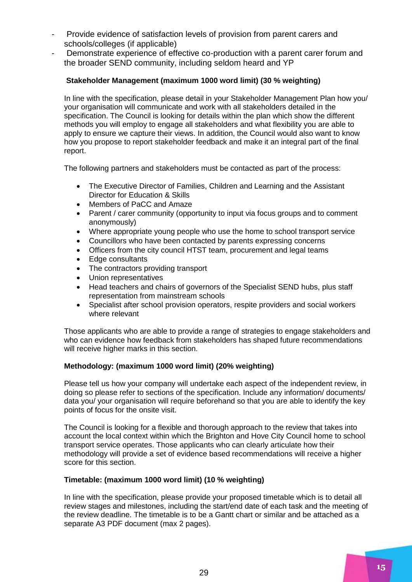- Provide evidence of satisfaction levels of provision from parent carers and schools/colleges (if applicable)
- Demonstrate experience of effective co-production with a parent carer forum and the broader SEND community, including seldom heard and YP

#### **Stakeholder Management (maximum 1000 word limit) (30 % weighting)**

In line with the specification, please detail in your Stakeholder Management Plan how you/ your organisation will communicate and work with all stakeholders detailed in the specification. The Council is looking for details within the plan which show the different methods you will employ to engage all stakeholders and what flexibility you are able to apply to ensure we capture their views. In addition, the Council would also want to know how you propose to report stakeholder feedback and make it an integral part of the final report.

The following partners and stakeholders must be contacted as part of the process:

- The Executive Director of Families, Children and Learning and the Assistant Director for Education & Skills
- Members of PaCC and Amaze
- Parent / carer community (opportunity to input via focus groups and to comment anonymously)
- Where appropriate young people who use the home to school transport service
- Councillors who have been contacted by parents expressing concerns
- Officers from the city council HTST team, procurement and legal teams
- Edge consultants
- The contractors providing transport
- Union representatives
- Head teachers and chairs of governors of the Specialist SEND hubs, plus staff representation from mainstream schools
- Specialist after school provision operators, respite providers and social workers where relevant

Those applicants who are able to provide a range of strategies to engage stakeholders and who can evidence how feedback from stakeholders has shaped future recommendations will receive higher marks in this section.

#### **Methodology: (maximum 1000 word limit) (20% weighting)**

Please tell us how your company will undertake each aspect of the independent review, in doing so please refer to sections of the specification. Include any information/ documents/ data you/ your organisation will require beforehand so that you are able to identify the key points of focus for the onsite visit.

The Council is looking for a flexible and thorough approach to the review that takes into account the local context within which the Brighton and Hove City Council home to school transport service operates. Those applicants who can clearly articulate how their methodology will provide a set of evidence based recommendations will receive a higher score for this section.

#### **Timetable: (maximum 1000 word limit) (10 % weighting)**

In line with the specification, please provide your proposed timetable which is to detail all review stages and milestones, including the start/end date of each task and the meeting of the review deadline. The timetable is to be a Gantt chart or similar and be attached as a separate A3 PDF document (max 2 pages).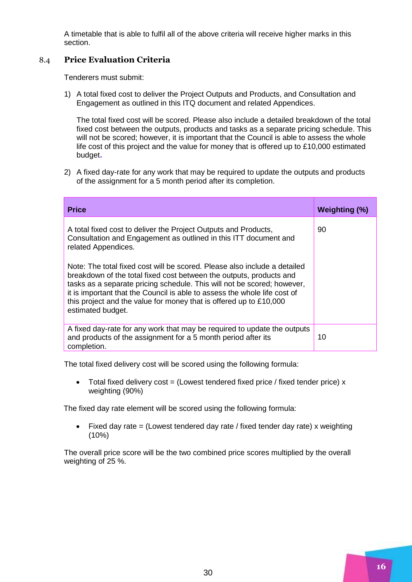A timetable that is able to fulfil all of the above criteria will receive higher marks in this section.

## 8.4 **Price Evaluation Criteria**

Tenderers must submit:

1) A total fixed cost to deliver the Project Outputs and Products, and Consultation and Engagement as outlined in this ITQ document and related Appendices.

The total fixed cost will be scored. Please also include a detailed breakdown of the total fixed cost between the outputs, products and tasks as a separate pricing schedule. This will not be scored; however, it is important that the Council is able to assess the whole life cost of this project and the value for money that is offered up to £10,000 estimated budget**.**

2) A fixed day-rate for any work that may be required to update the outputs and products of the assignment for a 5 month period after its completion.

| <b>Price</b>                                                                                                                                                                                                                                                                                                   | <b>Weighting (%)</b> |
|----------------------------------------------------------------------------------------------------------------------------------------------------------------------------------------------------------------------------------------------------------------------------------------------------------------|----------------------|
| A total fixed cost to deliver the Project Outputs and Products,<br>Consultation and Engagement as outlined in this ITT document and<br>related Appendices.<br>Note: The total fixed cost will be scored. Please also include a detailed<br>breakdown of the total fixed cost between the outputs, products and | 90                   |
| tasks as a separate pricing schedule. This will not be scored; however,<br>it is important that the Council is able to assess the whole life cost of<br>this project and the value for money that is offered up to £10,000<br>estimated budget.                                                                |                      |
| A fixed day-rate for any work that may be required to update the outputs<br>and products of the assignment for a 5 month period after its<br>completion.                                                                                                                                                       | 10                   |

The total fixed delivery cost will be scored using the following formula:

 $\bullet$  Total fixed delivery cost = (Lowest tendered fixed price / fixed tender price) x weighting (90%)

The fixed day rate element will be scored using the following formula:

Fixed day rate = (Lowest tendered day rate / fixed tender day rate) x weighting (10%)

The overall price score will be the two combined price scores multiplied by the overall weighting of 25 %.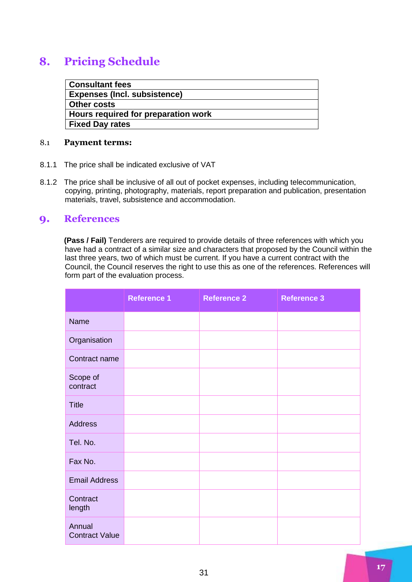## <span id="page-16-0"></span>**8. Pricing Schedule**

| <b>Consultant fees</b>              |
|-------------------------------------|
| <b>Expenses (Incl. subsistence)</b> |
| <b>Other costs</b>                  |
| Hours required for preparation work |
| <b>Fixed Day rates</b>              |

#### 8.1 **Payment terms:**

- 8.1.1 The price shall be indicated exclusive of VAT
- 8.1.2 The price shall be inclusive of all out of pocket expenses, including telecommunication, copying, printing, photography, materials, report preparation and publication, presentation materials, travel, subsistence and accommodation.

## <span id="page-16-1"></span>**9. References**

**(Pass / Fail)** Tenderers are required to provide details of three references with which you have had a contract of a similar size and characters that proposed by the Council within the last three years, two of which must be current. If you have a current contract with the Council, the Council reserves the right to use this as one of the references. References will form part of the evaluation process.

|                                 | <b>Reference 1</b> | <b>Reference 2</b> | <b>Reference 3</b> |
|---------------------------------|--------------------|--------------------|--------------------|
| <b>Name</b>                     |                    |                    |                    |
| Organisation                    |                    |                    |                    |
| Contract name                   |                    |                    |                    |
| Scope of<br>contract            |                    |                    |                    |
| <b>Title</b>                    |                    |                    |                    |
| <b>Address</b>                  |                    |                    |                    |
| Tel. No.                        |                    |                    |                    |
| Fax No.                         |                    |                    |                    |
| <b>Email Address</b>            |                    |                    |                    |
| Contract<br>length              |                    |                    |                    |
| Annual<br><b>Contract Value</b> |                    |                    |                    |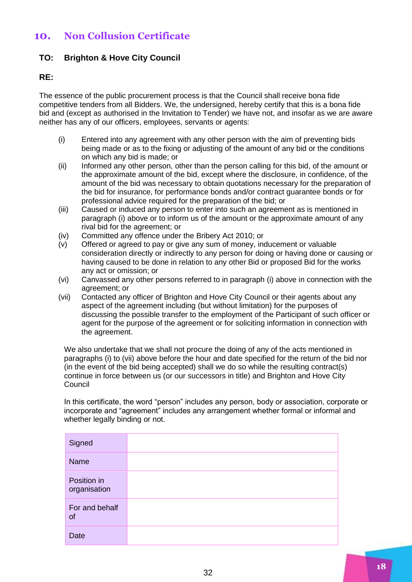## <span id="page-17-0"></span>**10. Non Collusion Certificate**

## **TO: Brighton & Hove City Council**

#### **RE:**

The essence of the public procurement process is that the Council shall receive bona fide competitive tenders from all Bidders. We, the undersigned, hereby certify that this is a bona fide bid and (except as authorised in the Invitation to Tender) we have not, and insofar as we are aware neither has any of our officers, employees, servants or agents:

- (i) Entered into any agreement with any other person with the aim of preventing bids being made or as to the fixing or adjusting of the amount of any bid or the conditions on which any bid is made; or
- (ii) Informed any other person, other than the person calling for this bid, of the amount or the approximate amount of the bid, except where the disclosure, in confidence, of the amount of the bid was necessary to obtain quotations necessary for the preparation of the bid for insurance, for performance bonds and/or contract guarantee bonds or for professional advice required for the preparation of the bid; or
- (iii) Caused or induced any person to enter into such an agreement as is mentioned in paragraph (i) above or to inform us of the amount or the approximate amount of any rival bid for the agreement; or
- (iv) Committed any offence under the Bribery Act 2010; or
- (v) Offered or agreed to pay or give any sum of money, inducement or valuable consideration directly or indirectly to any person for doing or having done or causing or having caused to be done in relation to any other Bid or proposed Bid for the works any act or omission; or
- (vi) Canvassed any other persons referred to in paragraph (i) above in connection with the agreement; or
- (vii) Contacted any officer of Brighton and Hove City Council or their agents about any aspect of the agreement including (but without limitation) for the purposes of discussing the possible transfer to the employment of the Participant of such officer or agent for the purpose of the agreement or for soliciting information in connection with the agreement.

We also undertake that we shall not procure the doing of any of the acts mentioned in paragraphs (i) to (vii) above before the hour and date specified for the return of the bid nor (in the event of the bid being accepted) shall we do so while the resulting contract(s) continue in force between us (or our successors in title) and Brighton and Hove City Council

In this certificate, the word "person" includes any person, body or association, corporate or incorporate and "agreement" includes any arrangement whether formal or informal and whether legally binding or not.

| Signed                      |  |
|-----------------------------|--|
| Name                        |  |
| Position in<br>organisation |  |
| For and behalf<br>of        |  |
| <b>Date</b>                 |  |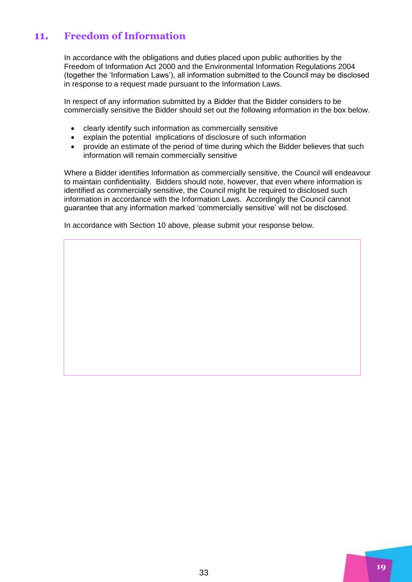## <span id="page-18-0"></span>**11. Freedom of Information**

In accordance with the obligations and duties placed upon public authorities by the Freedom of Information Act 2000 and the Environmental Information Regulations 2004 (together the 'Information Laws'), all information submitted to the Council may be disclosed in response to a request made pursuant to the Information Laws.

In respect of any information submitted by a Bidder that the Bidder considers to be commercially sensitive the Bidder should set out the following information in the box below.

- clearly identify such information as commercially sensitive
- explain the potential implications of disclosure of such information
- provide an estimate of the period of time during which the Bidder believes that such information will remain commercially sensitive

Where a Bidder identifies Information as commercially sensitive, the Council will endeavour to maintain confidentiality. Bidders should note, however, that even where information is identified as commercially sensitive, the Council might be required to disclosed such information in accordance with the Information Laws. Accordingly the Council cannot guarantee that any information marked 'commercially sensitive' will not be disclosed.

In accordance with Section 10 above, please submit your response below.